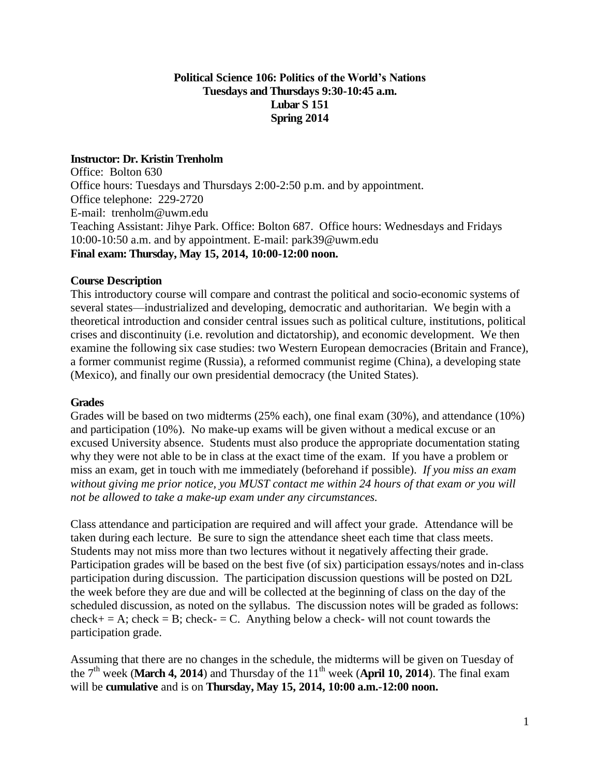# **Political Science 106: Politics of the World's Nations Tuesdays and Thursdays 9:30-10:45 a.m. Lubar S 151 Spring 2014**

# **Instructor: Dr. Kristin Trenholm**

Office: Bolton 630 Office hours: Tuesdays and Thursdays 2:00-2:50 p.m. and by appointment. Office telephone: 229-2720 E-mail: [trenholm@uwm.edu](mailto:trenholm@uwm.edu) Teaching Assistant: Jihye Park. Office: Bolton 687. Office hours: Wednesdays and Fridays 10:00-10:50 a.m. and by appointment. E-mail: park39@uwm.edu **Final exam: Thursday, May 15, 2014, 10:00-12:00 noon.**

# **Course Description**

This introductory course will compare and contrast the political and socio-economic systems of several states—industrialized and developing, democratic and authoritarian. We begin with a theoretical introduction and consider central issues such as political culture, institutions, political crises and discontinuity (i.e. revolution and dictatorship), and economic development. We then examine the following six case studies: two Western European democracies (Britain and France), a former communist regime (Russia), a reformed communist regime (China), a developing state (Mexico), and finally our own presidential democracy (the United States).

# **Grades**

Grades will be based on two midterms (25% each), one final exam (30%), and attendance (10%) and participation (10%). No make-up exams will be given without a medical excuse or an excused University absence. Students must also produce the appropriate documentation stating why they were not able to be in class at the exact time of the exam. If you have a problem or miss an exam, get in touch with me immediately (beforehand if possible). *If you miss an exam without giving me prior notice, you MUST contact me within 24 hours of that exam or you will not be allowed to take a make-up exam under any circumstances.*

Class attendance and participation are required and will affect your grade. Attendance will be taken during each lecture. Be sure to sign the attendance sheet each time that class meets. Students may not miss more than two lectures without it negatively affecting their grade. Participation grades will be based on the best five (of six) participation essays/notes and in-class participation during discussion. The participation discussion questions will be posted on D2L the week before they are due and will be collected at the beginning of class on the day of the scheduled discussion, as noted on the syllabus. The discussion notes will be graded as follows:  $check = A$ ; check = B; check- = C. Anything below a check- will not count towards the participation grade.

Assuming that there are no changes in the schedule, the midterms will be given on Tuesday of the 7<sup>th</sup> week (March 4, 2014) and Thursday of the 11<sup>th</sup> week (April 10, 2014). The final exam will be **cumulative** and is on **Thursday, May 15, 2014, 10:00 a.m.-12:00 noon.**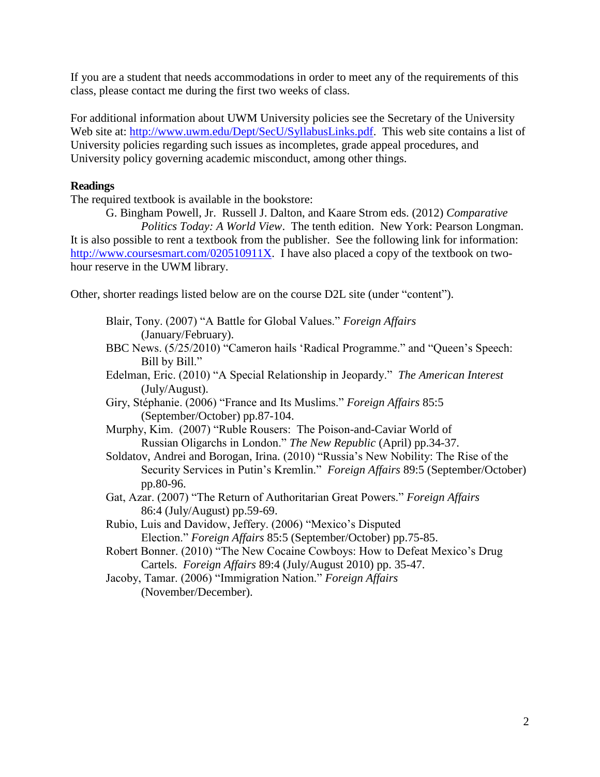If you are a student that needs accommodations in order to meet any of the requirements of this class, please contact me during the first two weeks of class.

For additional information about UWM University policies see the Secretary of the University Web site at: [http://www.uwm.edu/Dept/SecU/SyllabusLinks.pdf.](http://www.uwm.edu/Dept/SecU/SyllabusLinks.pdf) This web site contains a list of University policies regarding such issues as incompletes, grade appeal procedures, and University policy governing academic misconduct, among other things.

# **Readings**

The required textbook is available in the bookstore:

G. Bingham Powell, Jr. Russell J. Dalton, and Kaare Strom eds. (2012) *Comparative Politics Today: A World View*. The tenth edition. New York: Pearson Longman. It is also possible to rent a textbook from the publisher. See the following link for information: [http://www.coursesmart.com/020510911X.](http://www.coursesmart.com/020510911X) I have also placed a copy of the textbook on twohour reserve in the UWM library.

Other, shorter readings listed below are on the course D2L site (under "content").

- Blair, Tony. (2007) "A Battle for Global Values." *Foreign Affairs* (January/February).
- BBC News. (5/25/2010) "Cameron hails 'Radical Programme." and "Queen's Speech: Bill by Bill."
- Edelman, Eric. (2010) "A Special Relationship in Jeopardy." *The American Interest*  (July/August).
- Giry, Stéphanie. (2006) "France and Its Muslims." *Foreign Affairs* 85:5 (September/October) pp.87-104.
- Murphy, Kim. (2007) "Ruble Rousers: The Poison-and-Caviar World of Russian Oligarchs in London." *The New Republic* (April) pp.34-37.
- Soldatov, Andrei and Borogan, Irina. (2010) "Russia's New Nobility: The Rise of the Security Services in Putin's Kremlin." *Foreign Affairs* 89:5 (September/October) pp.80-96.
- Gat, Azar. (2007) "The Return of Authoritarian Great Powers." *Foreign Affairs* 86:4 (July/August) pp.59-69.
- Rubio, Luis and Davidow, Jeffery. (2006) "Mexico's Disputed Election." *Foreign Affairs* 85:5 (September/October) pp.75-85.
- Robert Bonner. (2010) "The New Cocaine Cowboys: How to Defeat Mexico's Drug Cartels. *Foreign Affairs* 89:4 (July/August 2010) pp. 35-47.
- Jacoby, Tamar. (2006) "Immigration Nation." *Foreign Affairs* (November/December).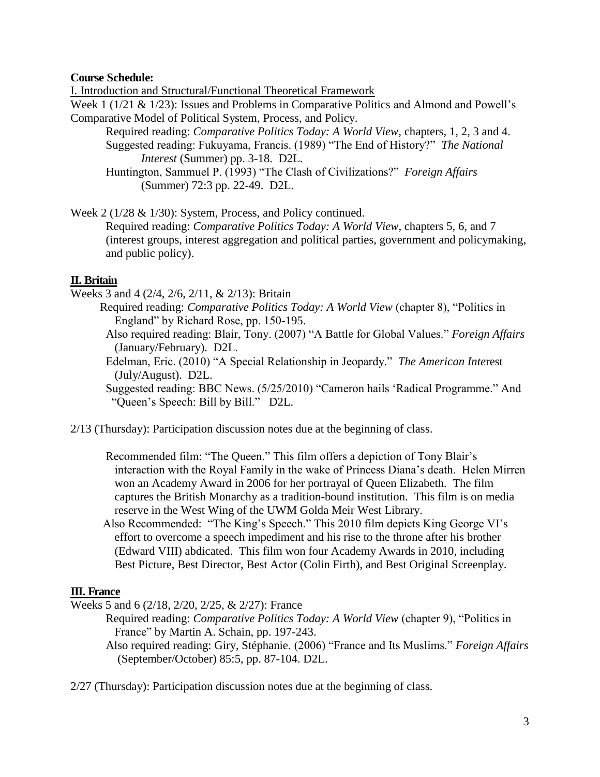# **Course Schedule:**

I. Introduction and Structural/Functional Theoretical Framework

Week 1 (1/21 & 1/23): Issues and Problems in Comparative Politics and Almond and Powell's Comparative Model of Political System, Process, and Policy.

Required reading: *Comparative Politics Today: A World View,* chapters, 1, 2, 3 and 4. Suggested reading: Fukuyama, Francis. (1989) "The End of History?" *The National Interest* (Summer) pp. 3-18. D2L.

Huntington, Sammuel P. (1993) "The Clash of Civilizations?" *Foreign Affairs*  (Summer) 72:3 pp. 22-49. D2L.

Week 2 (1/28 & 1/30): System, Process, and Policy continued.

Required reading: *Comparative Politics Today: A World View,* chapters 5, 6, and 7 (interest groups, interest aggregation and political parties, government and policymaking, and public policy).

# **II. Britain**

Weeks 3 and 4 (2/4, 2/6, 2/11, & 2/13): Britain

- Required reading: *Comparative Politics Today: A World View* (chapter 8), "Politics in England" by Richard Rose, pp. 150-195.
- Also required reading: Blair, Tony. (2007) "A Battle for Global Values." *Foreign Affairs* (January/February). D2L.
- Edelman, Eric. (2010) "A Special Relationship in Jeopardy." *The American Inte*rest (July/August). D2L.

Suggested reading: BBC News. (5/25/2010) "Cameron hails 'Radical Programme." And "Queen's Speech: Bill by Bill." D2L.

- 2/13 (Thursday): Participation discussion notes due at the beginning of class.
	- Recommended film: "The Queen." This film offers a depiction of Tony Blair's interaction with the Royal Family in the wake of Princess Diana's death. Helen Mirren won an Academy Award in 2006 for her portrayal of Queen Elizabeth. The film captures the British Monarchy as a tradition-bound institution. This film is on media reserve in the West Wing of the UWM Golda Meir West Library.
	- Also Recommended: "The King's Speech." This 2010 film depicts King George VI's effort to overcome a speech impediment and his rise to the throne after his brother (Edward VIII) abdicated. This film won four Academy Awards in 2010, including Best Picture, Best Director, Best Actor (Colin Firth), and Best Original Screenplay.

# **III. France**

Weeks 5 and 6 (2/18, 2/20, 2/25, & 2/27): France

- Required reading: *Comparative Politics Today: A World View* (chapter 9), "Politics in France" by Martin A. Schain, pp. 197-243.
	- Also required reading: Giry, Stéphanie. (2006) "France and Its Muslims." *Foreign Affairs*  (September/October) 85:5, pp. 87-104. D2L.

2/27 (Thursday): Participation discussion notes due at the beginning of class.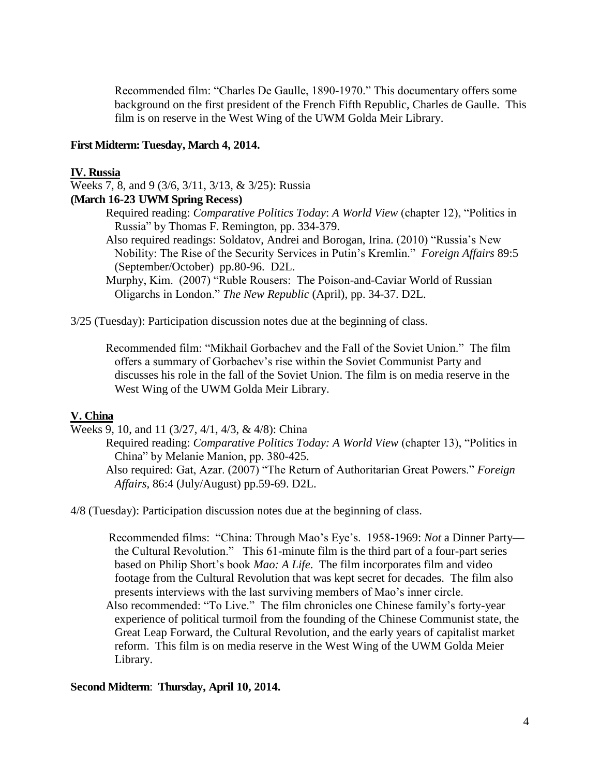Recommended film: "Charles De Gaulle, 1890-1970." This documentary offers some background on the first president of the French Fifth Republic, Charles de Gaulle. This film is on reserve in the West Wing of the UWM Golda Meir Library.

### **First Midterm: Tuesday, March 4, 2014.**

#### **IV. Russia**

Weeks 7, 8, and 9 (3/6, 3/11, 3/13, & 3/25): Russia

# **(March 16-23 UWM Spring Recess)**

Required reading: *Comparative Politics Today*: *A World View* (chapter 12), "Politics in Russia" by Thomas F. Remington, pp. 334-379.

Also required readings: Soldatov, Andrei and Borogan, Irina. (2010) "Russia's New Nobility: The Rise of the Security Services in Putin's Kremlin." *Foreign Affairs* 89:5 (September/October) pp.80-96. D2L.

Murphy, Kim. (2007) "Ruble Rousers: The Poison-and-Caviar World of Russian Oligarchs in London." *The New Republic* (April), pp. 34-37. D2L.

3/25 (Tuesday): Participation discussion notes due at the beginning of class.

 Recommended film: "Mikhail Gorbachev and the Fall of the Soviet Union." The film offers a summary of Gorbachev's rise within the Soviet Communist Party and discusses his role in the fall of the Soviet Union. The film is on media reserve in the West Wing of the UWM Golda Meir Library.

### **V. China**

Weeks 9, 10, and 11 (3/27, 4/1, 4/3, & 4/8): China

- Required reading: *Comparative Politics Today: A World View* (chapter 13), "Politics in China" by Melanie Manion, pp. 380-425.
- Also required: Gat, Azar. (2007) "The Return of Authoritarian Great Powers." *Foreign Affairs,* 86:4 (July/August) pp.59-69. D2L.

4/8 (Tuesday): Participation discussion notes due at the beginning of class.

 Recommended films: "China: Through Mao's Eye's. 1958-1969: *Not* a Dinner Party the Cultural Revolution." This 61-minute film is the third part of a four-part series based on Philip Short's book *Mao: A Life*. The film incorporates film and video footage from the Cultural Revolution that was kept secret for decades. The film also presents interviews with the last surviving members of Mao's inner circle.

 Also recommended: "To Live." The film chronicles one Chinese family's forty-year experience of political turmoil from the founding of the Chinese Communist state, the Great Leap Forward, the Cultural Revolution, and the early years of capitalist market reform. This film is on media reserve in the West Wing of the UWM Golda Meier Library.

### **Second Midterm**: **Thursday, April 10, 2014.**